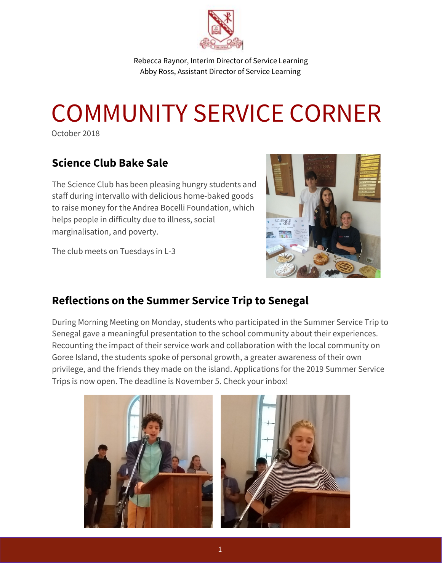

Rebecca Raynor, Interim Director of Service Learning Abby Ross, Assistant Director of Service Learning

## COMMUNITY SERVICE CORNER

October 2018

## **Science Club Bake Sale**

The Science Club has been pleasing hungry students and staff during intervallo with delicious home-baked goods to raise money for the Andrea Bocelli Foundation, which helps people in difficulty due to illness, social marginalisation, and poverty.

The club meets on Tuesdays in L-3



## **Reflections on the Summer Service Trip to Senegal**

During Morning Meeting on Monday, students who participated in the Summer Service Trip to Senegal gave a meaningful presentation to the school community about their experiences. Recounting the impact of their service work and collaboration with the local community on Goree Island, the students spoke of personal growth, a greater awareness of their own privilege, and the friends they made on the island. Applications for the 2019 Summer Service Trips is now open. The deadline is November 5. Check your inbox!